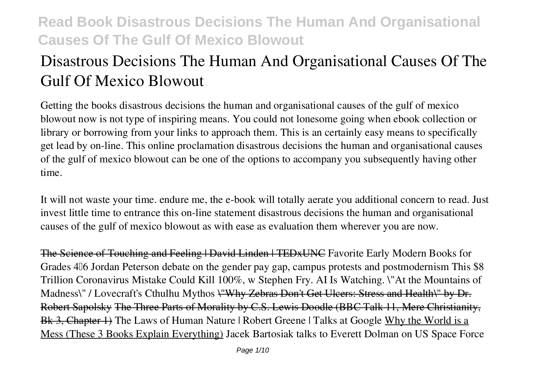# **Disastrous Decisions The Human And Organisational Causes Of The Gulf Of Mexico Blowout**

Getting the books **disastrous decisions the human and organisational causes of the gulf of mexico blowout** now is not type of inspiring means. You could not lonesome going when ebook collection or library or borrowing from your links to approach them. This is an certainly easy means to specifically get lead by on-line. This online proclamation disastrous decisions the human and organisational causes of the gulf of mexico blowout can be one of the options to accompany you subsequently having other time.

It will not waste your time. endure me, the e-book will totally aerate you additional concern to read. Just invest little time to entrance this on-line statement **disastrous decisions the human and organisational causes of the gulf of mexico blowout** as with ease as evaluation them wherever you are now.

The Science of Touching and Feeling | David Linden | TEDxUNC **Favorite Early Modern Books for Grades 4–6** *Jordan Peterson debate on the gender pay gap, campus protests and postmodernism This \$8 Trillion Coronavirus Mistake Could Kill 100%, w Stephen Fry. AI Is Watching.* \"At the Mountains of Madness\" / Lovecraft's Cthulhu Mythos \"Why Zebras Don't Get Ulcers: Stress and Health\" by Dr. Robert Sapolsky The Three Parts of Morality by C.S. Lewis Doodle (BBC Talk 11, Mere Christianity, **Bk 3, Chapter 1)** The Laws of Human Nature | Robert Greene | Talks at Google Why the World is a Mess (These 3 Books Explain Everything) *Jacek Bartosiak talks to Everett Dolman on US Space Force*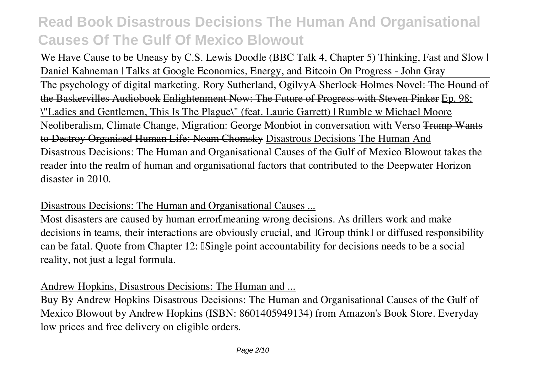*We Have Cause to be Uneasy by C.S. Lewis Doodle (BBC Talk 4, Chapter 5) Thinking, Fast and Slow | Daniel Kahneman | Talks at Google Economics, Energy, and Bitcoin On Progress - John Gray* The psychology of digital marketing. Rory Sutherland, Ogilvy<del>A Sherlock Holmes Novel: The Hound of</del> the Baskervilles Audiobook Enlightenment Now: The Future of Progress with Steven Pinker Ep. 98: \"Ladies and Gentlemen, This Is The Plague\" (feat. Laurie Garrett) | Rumble w Michael Moore *Neoliberalism, Climate Change, Migration: George Monbiot in conversation with Verso Trump Wants* to Destroy Organised Human Life: Noam Chomsky Disastrous Decisions The Human And Disastrous Decisions: The Human and Organisational Causes of the Gulf of Mexico Blowout takes the reader into the realm of human and organisational factors that contributed to the Deepwater Horizon disaster in 2010.

#### Disastrous Decisions: The Human and Organisational Causes ...

Most disasters are caused by human error<sup>[</sup>meaning wrong decisions. As drillers work and make decisions in teams, their interactions are obviously crucial, and  $\Box$  Group think $\Box$  or diffused responsibility can be fatal. Quote from Chapter 12: ISingle point accountability for decisions needs to be a social reality, not just a legal formula.

#### Andrew Hopkins, Disastrous Decisions: The Human and ...

Buy By Andrew Hopkins Disastrous Decisions: The Human and Organisational Causes of the Gulf of Mexico Blowout by Andrew Hopkins (ISBN: 8601405949134) from Amazon's Book Store. Everyday low prices and free delivery on eligible orders.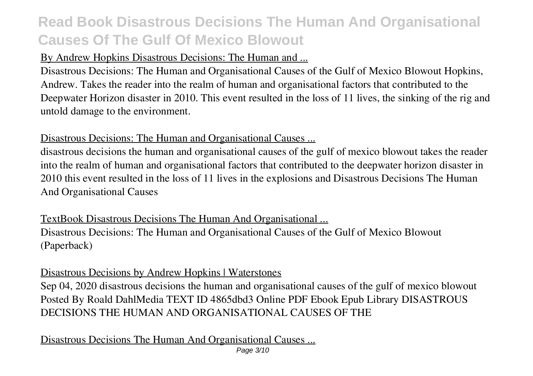### By Andrew Hopkins Disastrous Decisions: The Human and ...

Disastrous Decisions: The Human and Organisational Causes of the Gulf of Mexico Blowout Hopkins, Andrew. Takes the reader into the realm of human and organisational factors that contributed to the Deepwater Horizon disaster in 2010. This event resulted in the loss of 11 lives, the sinking of the rig and untold damage to the environment.

#### Disastrous Decisions: The Human and Organisational Causes ...

disastrous decisions the human and organisational causes of the gulf of mexico blowout takes the reader into the realm of human and organisational factors that contributed to the deepwater horizon disaster in 2010 this event resulted in the loss of 11 lives in the explosions and Disastrous Decisions The Human And Organisational Causes

TextBook Disastrous Decisions The Human And Organisational ... Disastrous Decisions: The Human and Organisational Causes of the Gulf of Mexico Blowout (Paperback)

#### Disastrous Decisions by Andrew Hopkins | Waterstones

Sep 04, 2020 disastrous decisions the human and organisational causes of the gulf of mexico blowout Posted By Roald DahlMedia TEXT ID 4865dbd3 Online PDF Ebook Epub Library DISASTROUS DECISIONS THE HUMAN AND ORGANISATIONAL CAUSES OF THE

Disastrous Decisions The Human And Organisational Causes ...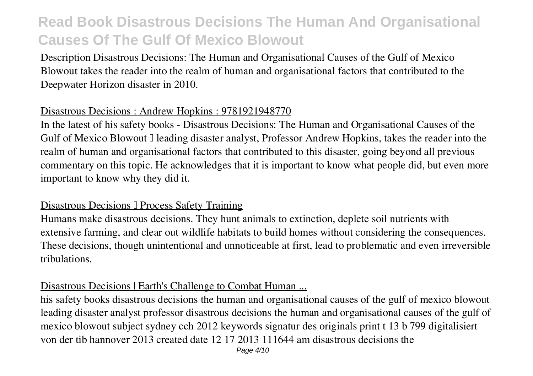Description Disastrous Decisions: The Human and Organisational Causes of the Gulf of Mexico Blowout takes the reader into the realm of human and organisational factors that contributed to the Deepwater Horizon disaster in 2010.

#### Disastrous Decisions : Andrew Hopkins : 9781921948770

In the latest of his safety books - Disastrous Decisions: The Human and Organisational Causes of the Gulf of Mexico Blowout  $\mathbb I$  leading disaster analyst, Professor Andrew Hopkins, takes the reader into the realm of human and organisational factors that contributed to this disaster, going beyond all previous commentary on this topic. He acknowledges that it is important to know what people did, but even more important to know why they did it.

#### Disastrous Decisions <sup>D</sup> Process Safety Training

Humans make disastrous decisions. They hunt animals to extinction, deplete soil nutrients with extensive farming, and clear out wildlife habitats to build homes without considering the consequences. These decisions, though unintentional and unnoticeable at first, lead to problematic and even irreversible tribulations.

#### Disastrous Decisions | Earth's Challenge to Combat Human ...

his safety books disastrous decisions the human and organisational causes of the gulf of mexico blowout leading disaster analyst professor disastrous decisions the human and organisational causes of the gulf of mexico blowout subject sydney cch 2012 keywords signatur des originals print t 13 b 799 digitalisiert von der tib hannover 2013 created date 12 17 2013 111644 am disastrous decisions the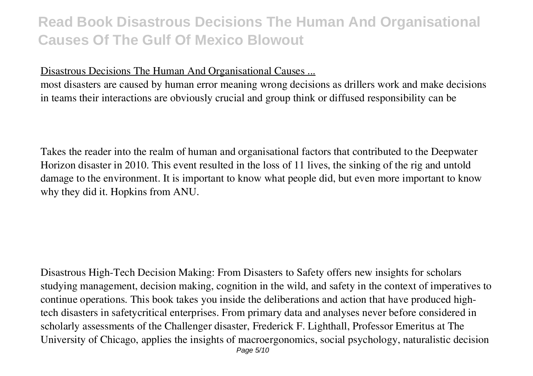#### Disastrous Decisions The Human And Organisational Causes ...

most disasters are caused by human error meaning wrong decisions as drillers work and make decisions in teams their interactions are obviously crucial and group think or diffused responsibility can be

Takes the reader into the realm of human and organisational factors that contributed to the Deepwater Horizon disaster in 2010. This event resulted in the loss of 11 lives, the sinking of the rig and untold damage to the environment. It is important to know what people did, but even more important to know why they did it. Hopkins from ANU.

Disastrous High-Tech Decision Making: From Disasters to Safety offers new insights for scholars studying management, decision making, cognition in the wild, and safety in the context of imperatives to continue operations. This book takes you inside the deliberations and action that have produced hightech disasters in safetycritical enterprises. From primary data and analyses never before considered in scholarly assessments of the Challenger disaster, Frederick F. Lighthall, Professor Emeritus at The University of Chicago, applies the insights of macroergonomics, social psychology, naturalistic decision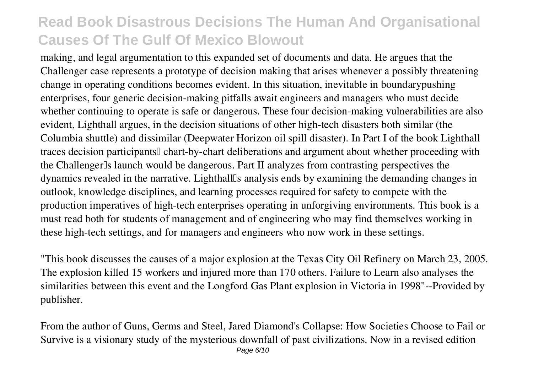making, and legal argumentation to this expanded set of documents and data. He argues that the Challenger case represents a prototype of decision making that arises whenever a possibly threatening change in operating conditions becomes evident. In this situation, inevitable in boundarypushing enterprises, four generic decision-making pitfalls await engineers and managers who must decide whether continuing to operate is safe or dangerous. These four decision-making vulnerabilities are also evident, Lighthall argues, in the decision situations of other high-tech disasters both similar (the Columbia shuttle) and dissimilar (Deepwater Horizon oil spill disaster). In Part I of the book Lighthall traces decision participants<sup>[]</sup> chart-by-chart deliberations and argument about whether proceeding with the Challenger<sup>[]</sup>s launch would be dangerous. Part II analyzes from contrasting perspectives the dynamics revealed in the narrative. Lighthall's analysis ends by examining the demanding changes in outlook, knowledge disciplines, and learning processes required for safety to compete with the production imperatives of high-tech enterprises operating in unforgiving environments. This book is a must read both for students of management and of engineering who may find themselves working in these high-tech settings, and for managers and engineers who now work in these settings.

"This book discusses the causes of a major explosion at the Texas City Oil Refinery on March 23, 2005. The explosion killed 15 workers and injured more than 170 others. Failure to Learn also analyses the similarities between this event and the Longford Gas Plant explosion in Victoria in 1998"--Provided by publisher.

From the author of Guns, Germs and Steel, Jared Diamond's Collapse: How Societies Choose to Fail or Survive is a visionary study of the mysterious downfall of past civilizations. Now in a revised edition Page 6/10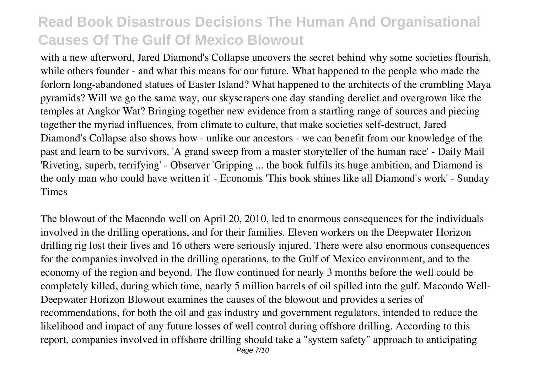with a new afterword, Jared Diamond's Collapse uncovers the secret behind why some societies flourish, while others founder - and what this means for our future. What happened to the people who made the forlorn long-abandoned statues of Easter Island? What happened to the architects of the crumbling Maya pyramids? Will we go the same way, our skyscrapers one day standing derelict and overgrown like the temples at Angkor Wat? Bringing together new evidence from a startling range of sources and piecing together the myriad influences, from climate to culture, that make societies self-destruct, Jared Diamond's Collapse also shows how - unlike our ancestors - we can benefit from our knowledge of the past and learn to be survivors. 'A grand sweep from a master storyteller of the human race' - Daily Mail 'Riveting, superb, terrifying' - Observer 'Gripping ... the book fulfils its huge ambition, and Diamond is the only man who could have written it' - Economis 'This book shines like all Diamond's work' - Sunday **Times** 

The blowout of the Macondo well on April 20, 2010, led to enormous consequences for the individuals involved in the drilling operations, and for their families. Eleven workers on the Deepwater Horizon drilling rig lost their lives and 16 others were seriously injured. There were also enormous consequences for the companies involved in the drilling operations, to the Gulf of Mexico environment, and to the economy of the region and beyond. The flow continued for nearly 3 months before the well could be completely killed, during which time, nearly 5 million barrels of oil spilled into the gulf. Macondo Well-Deepwater Horizon Blowout examines the causes of the blowout and provides a series of recommendations, for both the oil and gas industry and government regulators, intended to reduce the likelihood and impact of any future losses of well control during offshore drilling. According to this report, companies involved in offshore drilling should take a "system safety" approach to anticipating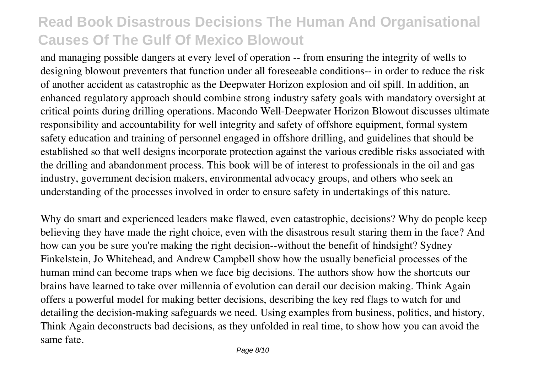and managing possible dangers at every level of operation -- from ensuring the integrity of wells to designing blowout preventers that function under all foreseeable conditions-- in order to reduce the risk of another accident as catastrophic as the Deepwater Horizon explosion and oil spill. In addition, an enhanced regulatory approach should combine strong industry safety goals with mandatory oversight at critical points during drilling operations. Macondo Well-Deepwater Horizon Blowout discusses ultimate responsibility and accountability for well integrity and safety of offshore equipment, formal system safety education and training of personnel engaged in offshore drilling, and guidelines that should be established so that well designs incorporate protection against the various credible risks associated with the drilling and abandonment process. This book will be of interest to professionals in the oil and gas industry, government decision makers, environmental advocacy groups, and others who seek an understanding of the processes involved in order to ensure safety in undertakings of this nature.

Why do smart and experienced leaders make flawed, even catastrophic, decisions? Why do people keep believing they have made the right choice, even with the disastrous result staring them in the face? And how can you be sure you're making the right decision--without the benefit of hindsight? Sydney Finkelstein, Jo Whitehead, and Andrew Campbell show how the usually beneficial processes of the human mind can become traps when we face big decisions. The authors show how the shortcuts our brains have learned to take over millennia of evolution can derail our decision making. Think Again offers a powerful model for making better decisions, describing the key red flags to watch for and detailing the decision-making safeguards we need. Using examples from business, politics, and history, Think Again deconstructs bad decisions, as they unfolded in real time, to show how you can avoid the same fate.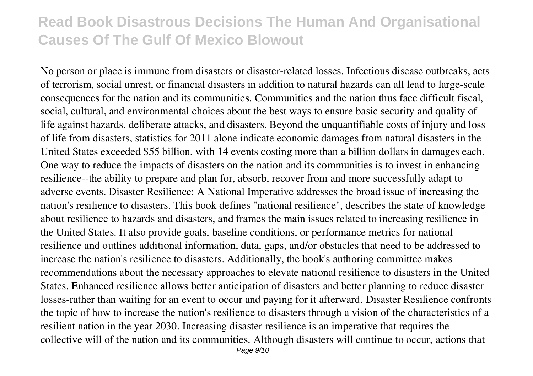No person or place is immune from disasters or disaster-related losses. Infectious disease outbreaks, acts of terrorism, social unrest, or financial disasters in addition to natural hazards can all lead to large-scale consequences for the nation and its communities. Communities and the nation thus face difficult fiscal, social, cultural, and environmental choices about the best ways to ensure basic security and quality of life against hazards, deliberate attacks, and disasters. Beyond the unquantifiable costs of injury and loss of life from disasters, statistics for 2011 alone indicate economic damages from natural disasters in the United States exceeded \$55 billion, with 14 events costing more than a billion dollars in damages each. One way to reduce the impacts of disasters on the nation and its communities is to invest in enhancing resilience--the ability to prepare and plan for, absorb, recover from and more successfully adapt to adverse events. Disaster Resilience: A National Imperative addresses the broad issue of increasing the nation's resilience to disasters. This book defines "national resilience", describes the state of knowledge about resilience to hazards and disasters, and frames the main issues related to increasing resilience in the United States. It also provide goals, baseline conditions, or performance metrics for national resilience and outlines additional information, data, gaps, and/or obstacles that need to be addressed to increase the nation's resilience to disasters. Additionally, the book's authoring committee makes recommendations about the necessary approaches to elevate national resilience to disasters in the United States. Enhanced resilience allows better anticipation of disasters and better planning to reduce disaster losses-rather than waiting for an event to occur and paying for it afterward. Disaster Resilience confronts the topic of how to increase the nation's resilience to disasters through a vision of the characteristics of a resilient nation in the year 2030. Increasing disaster resilience is an imperative that requires the collective will of the nation and its communities. Although disasters will continue to occur, actions that